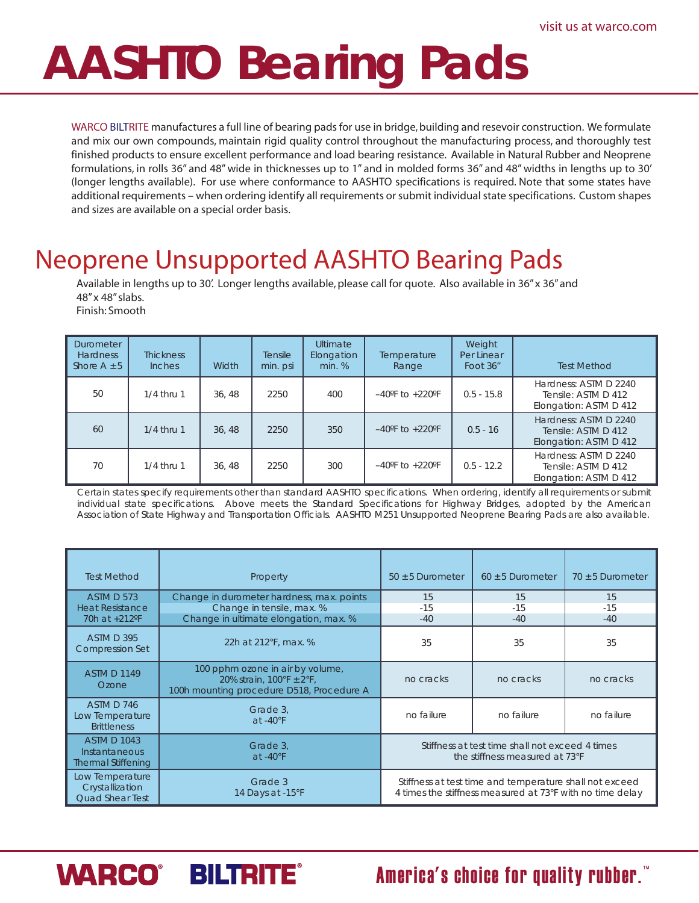# **AASHTO Bearing Pads**

WARCO BILTRITE manufactures a full line of bearing pads for use in bridge, building and resevoir construction. We formulate and mix our own compounds, maintain rigid quality control throughout the manufacturing process, and thoroughly test finished products to ensure excellent performance and load bearing resistance. Available in Natural Rubber and Neoprene formulations, in rolls 36" and 48" wide in thicknesses up to 1" and in molded forms 36" and 48" widths in lengths up to 30' (longer lengths available). For use where conformance to AASHTO specifications is required. Note that some states have additional requirements – when ordering identify all requirements or submit individual state specifications. Custom shapes and sizes are available on a special order basis.

## Neoprene Unsupported AASHTO Bearing Pads

Available in lengths up to 30'. Longer lengths available, please call for quote. Also available in 36" x 36" and 48" x 48" slabs. Finish: Smooth

**Ultimate** Elongation min. % **Thickness** Inches Width Durometer **Hardness** Shore  $A \pm 5$ Weight Per Linear Foot 36" | Test Method 0.5 - 12.2  $0.5 - 16$ 70 60 2250 2250 300 350 1/4 thru 1 | 36, 48 | 2250 | 400 | -40°F to +220°F | 0.5 - 15.8 1/4 thru 1 1/4 thru 1 50 2250 400 Hardness: ASTM D 2240 Tensile: ASTM D 412 Elongation: ASTM D 412 Hardness: ASTM D 2240 Tensile: ASTM D 412 Elongation: ASTM D 412 Hardness: ASTM D 2240 Tensile: ASTM D 412 Elongation: ASTM D 412 **Tensile** min. psi 36, 48 36, 48 36, 48 –40ºF to +220ºF –40ºF to +220ºF **Temperature** Range

Certain states specify requirements other than standard AASHTO specifications. When ordering, identify all requirements or submit individual state specifications. Above meets the Standard Specifications for Highway Bridges, adopted by the American Association of State Highway and Transportation Officials. AASHTO M251 Unsupported Neoprene Bearing Pads are also available.

| <b>Test Method</b>                                               | Property                                                                                                  | $50 \pm 5$ Durometer                                                                                                 | $60 \pm 5$ Durometer | $70 \pm 5$ Durometer |  |
|------------------------------------------------------------------|-----------------------------------------------------------------------------------------------------------|----------------------------------------------------------------------------------------------------------------------|----------------------|----------------------|--|
| ASTM D 573                                                       | Change in durometer hardness, max. points                                                                 | 15                                                                                                                   | 15                   | 15                   |  |
| <b>Heat Resistance</b>                                           | Change in tensile, max. %                                                                                 | $-15$                                                                                                                | $-15$                | $-15$                |  |
| 70h at +212°F                                                    | Change in ultimate elongation, max. %                                                                     | $-40$                                                                                                                | $-40$                | $-40$                |  |
| <b>ASTM D 395</b><br><b>Compression Set</b>                      | 22h at 212°F, max. %                                                                                      | 35                                                                                                                   | 35                   | 35                   |  |
| <b>ASTM D 1149</b><br>Ozone                                      | 100 pphm ozone in air by volume,<br>20% strain, 100°F ± 2°F,<br>100h mounting procedure D518, Procedure A | no cracks                                                                                                            | no cracks            | no cracks            |  |
| ASTM D 746<br>Low Temperature<br><b>Brittleness</b>              | Grade 3,<br>$at -40°F$                                                                                    | no failure                                                                                                           | no failure           | no failure           |  |
| <b>ASTM D 1043</b><br>Instantaneous<br><b>Thermal Stiffening</b> | Grade 3,<br>$at -40°F$                                                                                    | Stiffness at test time shall not exceed 4 times<br>the stiffness measured at 73°F                                    |                      |                      |  |
| Low Temperature<br>Crystallization<br><b>Quad Shear Test</b>     | Grade 3<br>14 Days at -15°F                                                                               | Stiffness at test time and temperature shall not exceed<br>4 times the stiffness measured at 73°F with no time delay |                      |                      |  |

**WARCO® BILTRITE®** 

America's choice for quality rubber.<sup>"</sup>